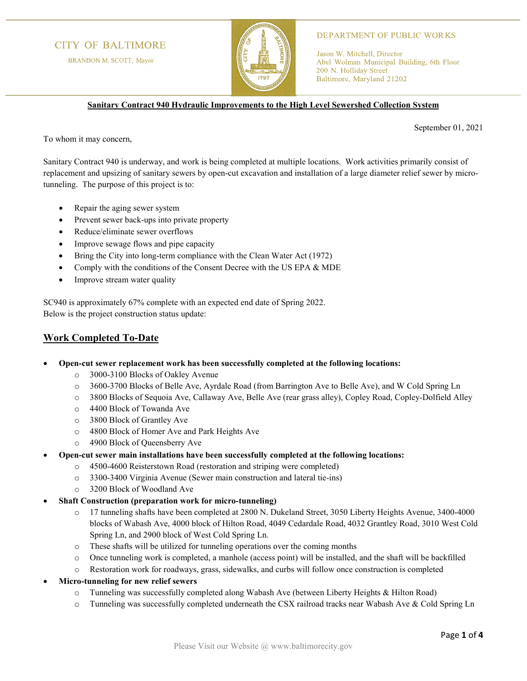## **CITY OF BALTIMORE**

BRANDON M. SCOTT, Mayor



### **DEPARTMENT OF PUBLIC WORKS**

Jason W. Mitchell, Director Abel Wolman Municipal Building, 6th Floor 200 N. Holliday Street Baltimore, Maryland 21202

**Sanitary Contract 940 Hydraulic Improvements to the High Level Sewershed Collection System**

September 01, 2021

To whom it may concern,

Sanitary Contract 940 is underway, and work is being completed at multiple locations. Work activities primarily consist of replacement and upsizing of sanitary sewers by open-cut excavation and installation of a large diameter relief sewer by microtunneling. The purpose of this project is to:

- Repair the aging sewer system
- Prevent sewer back-ups into private property
- Reduce/eliminate sewer overflows
- Improve sewage flows and pipe capacity
- Bring the City into long-term compliance with the Clean Water Act (1972)
- Comply with the conditions of the Consent Decree with the US EPA & MDE
- Improve stream water quality

SC940 is approximately 67% complete with an expected end date of Spring 2022. Below is the project construction status update:

## **Work Completed To-Date**

- **Open-cut sewer replacement work has been successfully completed at the following locations:**
	- o 3000-3100 Blocks of Oakley Avenue
	- o 3600-3700 Blocks of Belle Ave, Ayrdale Road (from Barrington Ave to Belle Ave), and W Cold Spring Ln
	- o 3800 Blocks of Sequoia Ave, Callaway Ave, Belle Ave (rear grass alley), Copley Road, Copley-Dolfield Alley
	- o 4400 Block of Towanda Ave
	- o 3800 Block of Grantley Ave
	- o 4800 Block of Homer Ave and Park Heights Ave
	- o 4900 Block of Queensberry Ave
- **Open-cut sewer main installations have been successfully completed at the following locations:**
	- o 4500-4600 Reisterstown Road (restoration and striping were completed)
	- o 3300-3400 Virginia Avenue (Sewer main construction and lateral tie-ins)
	- o 3200 Block of Woodland Ave
- **Shaft Construction (preparation work for micro-tunneling)**
	- o 17 tunneling shafts have been completed at 2800 N. Dukeland Street, 3050 Liberty Heights Avenue, 3400-4000 blocks of Wabash Ave, 4000 block of Hilton Road, 4049 Cedardale Road, 4032 Grantley Road, 3010 West Cold Spring Ln, and 2900 block of West Cold Spring Ln.
	- o These shafts will be utilized for tunneling operations over the coming months
	- o Once tunneling work is completed, a manhole (access point) will be installed, and the shaft will be backfilled
	- o Restoration work for roadways, grass, sidewalks, and curbs will follow once construction is completed
- **Micro-tunneling for new relief sewers**
	- o Tunneling was successfully completed along Wabash Ave (between Liberty Heights & Hilton Road)
	- o Tunneling was successfully completed underneath the CSX railroad tracks near Wabash Ave & Cold Spring Ln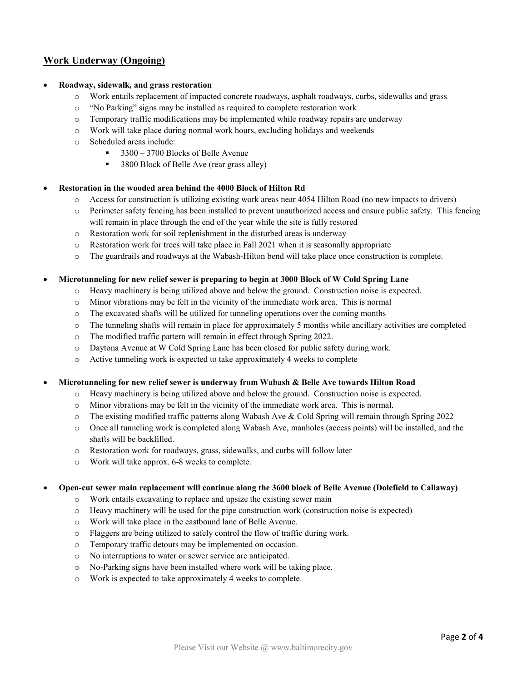# **Work Underway (Ongoing)**

### • **Roadway, sidewalk, and grass restoration**

- o Work entails replacement of impacted concrete roadways, asphalt roadways, curbs, sidewalks and grass
- o "No Parking" signs may be installed as required to complete restoration work
- $\circ$  Temporary traffic modifications may be implemented while roadway repairs are underway
- o Work will take place during normal work hours, excluding holidays and weekends
- o Scheduled areas include:
	- $\approx$  3300 3700 Blocks of Belle Avenue
	- 3800 Block of Belle Ave (rear grass alley)

### • **Restoration in the wooded area behind the 4000 Block of Hilton Rd**

- o Access for construction is utilizing existing work areas near 4054 Hilton Road (no new impacts to drivers)
- o Perimeter safety fencing has been installed to prevent unauthorized access and ensure public safety. This fencing will remain in place through the end of the year while the site is fully restored
- o Restoration work for soil replenishment in the disturbed areas is underway
- o Restoration work for trees will take place in Fall 2021 when it is seasonally appropriate
- o The guardrails and roadways at the Wabash-Hilton bend will take place once construction is complete.

### • **Microtunneling for new relief sewer is preparing to begin at 3000 Block of W Cold Spring Lane**

- o Heavy machinery is being utilized above and below the ground. Construction noise is expected.
- o Minor vibrations may be felt in the vicinity of the immediate work area. This is normal
- $\circ$  The excavated shafts will be utilized for tunneling operations over the coming months
- o The tunneling shafts will remain in place for approximately 5 months while ancillary activities are completed
- o The modified traffic pattern will remain in effect through Spring 2022.
- o Daytona Avenue at W Cold Spring Lane has been closed for public safety during work.
- o Active tunneling work is expected to take approximately 4 weeks to complete

• **Microtunneling for new relief sewer is underway from Wabash & Belle Ave towards Hilton Road**

- o Heavy machinery is being utilized above and below the ground. Construction noise is expected.
- o Minor vibrations may be felt in the vicinity of the immediate work area. This is normal.
- o The existing modified traffic patterns along Wabash Ave & Cold Spring will remain through Spring 2022
- o Once all tunneling work is completed along Wabash Ave, manholes (access points) will be installed, and the shafts will be backfilled.
- o Restoration work for roadways, grass, sidewalks, and curbs will follow later
- o Work will take approx. 6-8 weeks to complete.

### • **Open-cut sewer main replacement will continue along the 3600 block of Belle Avenue (Dolefield to Callaway)**

- o Work entails excavating to replace and upsize the existing sewer main
- $\circ$  Heavy machinery will be used for the pipe construction work (construction noise is expected)
- o Work will take place in the eastbound lane of Belle Avenue.
- o Flaggers are being utilized to safely control the flow of traffic during work.
- o Temporary traffic detours may be implemented on occasion.
- o No interruptions to water or sewer service are anticipated.
- o No-Parking signs have been installed where work will be taking place.
- o Work is expected to take approximately 4 weeks to complete.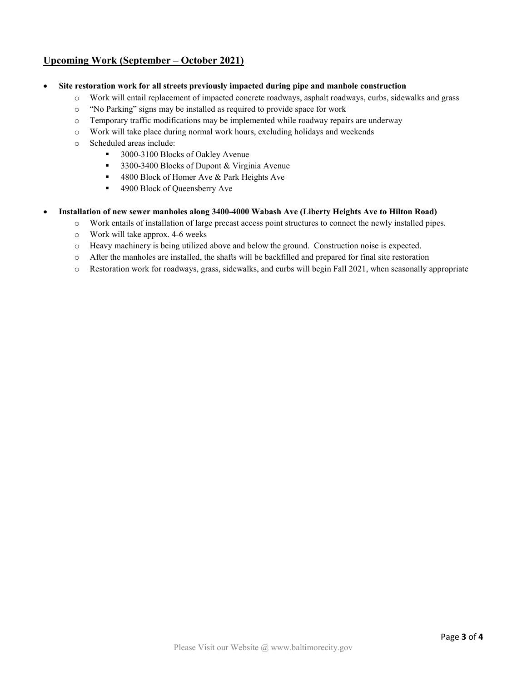# **Upcoming Work (September – October 2021)**

- **Site restoration work for all streets previously impacted during pipe and manhole construction**
	- o Work will entail replacement of impacted concrete roadways, asphalt roadways, curbs, sidewalks and grass
	- o "No Parking" signs may be installed as required to provide space for work
	- $\circ$  Temporary traffic modifications may be implemented while roadway repairs are underway
	- o Work will take place during normal work hours, excluding holidays and weekends
	- o Scheduled areas include:
		- 3000-3100 Blocks of Oakley Avenue
		- 3300-3400 Blocks of Dupont & Virginia Avenue
		- 4800 Block of Homer Ave & Park Heights Ave
		- 4900 Block of Queensberry Ave
- **Installation of new sewer manholes along 3400-4000 Wabash Ave (Liberty Heights Ave to Hilton Road)**
	- o Work entails of installation of large precast access point structures to connect the newly installed pipes.
	- o Work will take approx. 4-6 weeks
	- o Heavy machinery is being utilized above and below the ground. Construction noise is expected.
	- o After the manholes are installed, the shafts will be backfilled and prepared for final site restoration
	- o Restoration work for roadways, grass, sidewalks, and curbs will begin Fall 2021, when seasonally appropriate